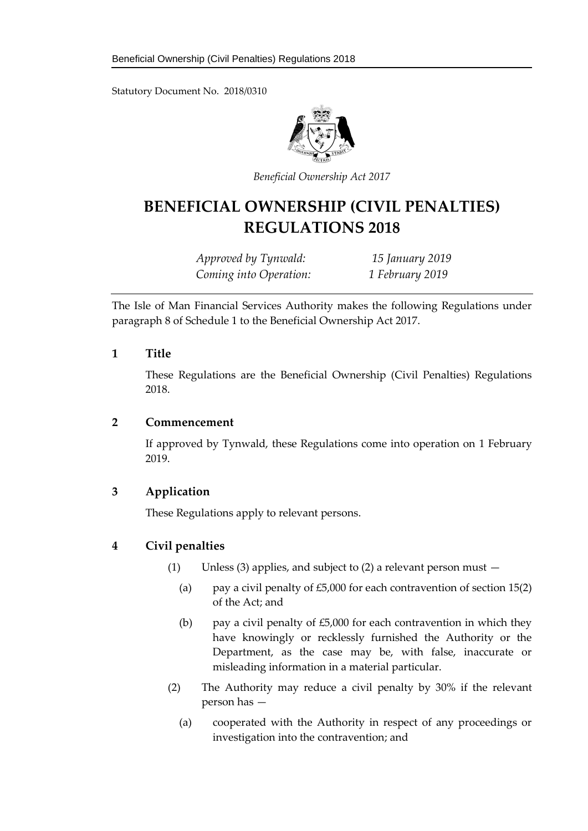Statutory Document No. 2018/0310



*Beneficial Ownership Act 2017*

# **BENEFICIAL OWNERSHIP (CIVIL PENALTIES) REGULATIONS 2018**

*Approved by Tynwald: 15 January 2019 Coming into Operation: 1 February 2019*

The Isle of Man Financial Services Authority makes the following Regulations under paragraph 8 of Schedule 1 to the Beneficial Ownership Act 2017.

#### **1 Title**

These Regulations are the Beneficial Ownership (Civil Penalties) Regulations 2018.

#### **2 Commencement**

If approved by Tynwald, these Regulations come into operation on 1 February 2019.

## **3 Application**

These Regulations apply to relevant persons.

## **4 Civil penalties**

- (1) Unless (3) applies, and subject to (2) a relevant person must  $-$ 
	- (a) pay a civil penalty of  $£5,000$  for each contravention of section 15(2) of the Act; and
	- (b) pay a civil penalty of  $£5,000$  for each contravention in which they have knowingly or recklessly furnished the Authority or the Department, as the case may be, with false, inaccurate or misleading information in a material particular.
- (2) The Authority may reduce a civil penalty by 30% if the relevant person has —
	- (a) cooperated with the Authority in respect of any proceedings or investigation into the contravention; and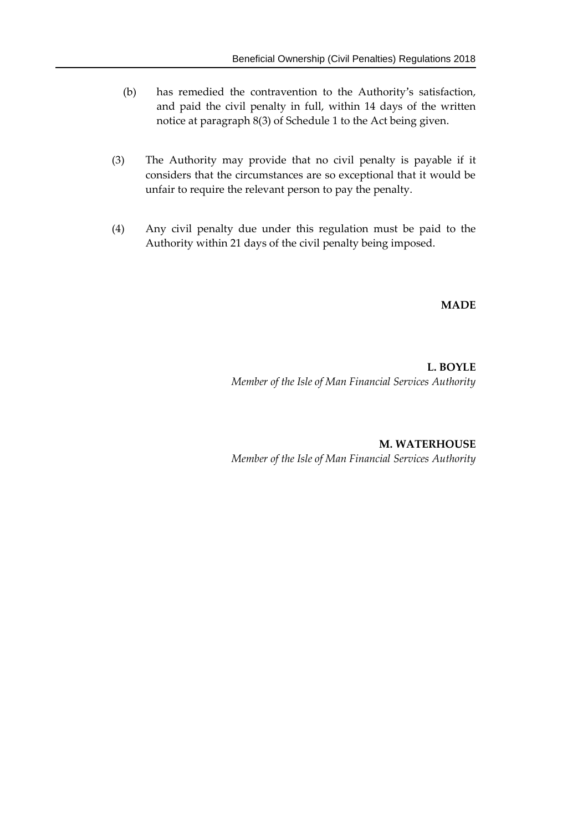- (b) has remedied the contravention to the Authority's satisfaction, and paid the civil penalty in full, within 14 days of the written notice at paragraph 8(3) of Schedule 1 to the Act being given.
- (3) The Authority may provide that no civil penalty is payable if it considers that the circumstances are so exceptional that it would be unfair to require the relevant person to pay the penalty.
- (4) Any civil penalty due under this regulation must be paid to the Authority within 21 days of the civil penalty being imposed.

**MADE**

**L. BOYLE** *Member of the Isle of Man Financial Services Authority*

**M. WATERHOUSE** *Member of the Isle of Man Financial Services Authority*